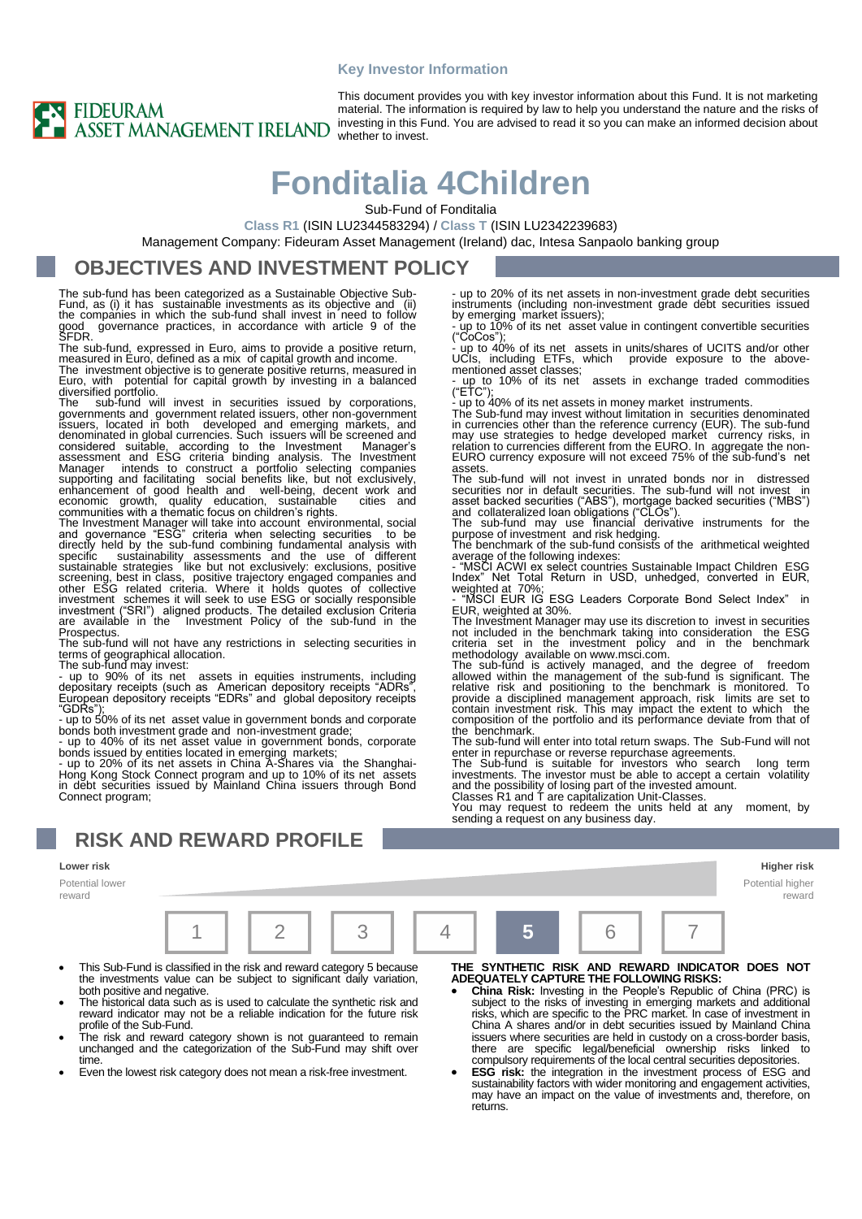#### **Key Investor Information**



This document provides you with key investor information about this Fund. It is not marketing material. The information is required by law to help you understand the nature and the risks of investing in this Fund. You are advised to read it so you can make an informed decision about whether to invest.

# **Fonditalia 4Children**

Sub-Fund of Fonditalia

**Class R1** (ISIN LU2344583294) / **Class T** (ISIN LU2342239683)

Management Company: Fideuram Asset Management (Ireland) dac, Intesa Sanpaolo banking group

#### **OBJECTIVES AND INVESTMENT POLICY**

The sub-fund has been categorized as a Sustainable Objective Sub-Fund, as (i) it has sustainable investments as its objective and (ii) the companies in which the sub-fund shall invest in need to follow good governance practices, in accordance with article 9 of the SFDR.

The sub-fund, expressed in Euro, aims to provide a positive return, measured in Euro, defined as a mix of capital growth and income. The investment objective is to generate positive returns, measured in

Euro, with potential for capital growth by investing in a balanced diversified portfolio. The sub-fund will invest in securities issued by corporations,

governments and government related issuers, other non-government<br>issuers, located in both developed and emerging markets, and<br>denominated in global currencies. Such issuers will be screened and<br>considered suitable, accordi economic growth, quality education, sustainable cities and communities with a thematic focus on children's rights.

The Investment Manager will take into account environmental, social<br>and governance "ESG" criteria when selecting securities to be<br>directly held by the sub-fund combining fundamental analysis with<br>specific sustainability as

The sub-fund will not have any restrictions in selecting securities in terms of geographical allocation. The sub-fund may invest:

- up to 90% of its net assets in equities instruments, including depositary receipts (such as American depository receipts "ADRs", European depository receipts "EDRs" and global depository receipts

"GDRs"); - up to 50% of its net asset value in government bonds and corporate bonds both investment grade and non-investment grade;

- up to 40% of its net asset value in government bonds, corporate<br>bonds issued by entities located in emerging markets;<br>- up to 20% of its net assets in China A-Shares via the Shanghai-<br>Hong Kong Stock Connect program and Connect program;

### **RISK AND REWARD PROFILE**

**Lower risk Higher risk**

Potential lower reward

- This Sub-Fund is classified in the risk and reward category 5 because the investments value can be subject to significant daily variation, both positive and negative.
- The historical data such as is used to calculate the synthetic risk and reward indicator may not be a reliable indication for the future risk
- profile of the Sub-Fund. The risk and reward category shown is not guaranteed to remain unchanged and the categorization of the Sub-Fund may shift over time.
- Even the lowest risk category does not mean a risk-free investment.

- up to 20% of its net assets in non-investment grade debt securities<br>instruments (including non-investment grade debt securities issued<br>by emerging market issuers);<br>- up to 10% of its net asset value in contingent conver

UCIs, including ETFs, which provide exposure to the above-mentioned asset classes;

- up to 10% of its net assets in exchange traded commodities ("ETC");<br>
- up to 40% of its net assets in money market instruments.<br>
- up to 40% of its net assets in money market instruments.<br>
The Sub-fund may invest without assets.

The sub-fund will not invest in unrated bonds nor in distressed securities nor in default securities. The sub-fund will not invest in<br>asset backed securities ("ABS"), mortgage backed securities ("MBS")<br>and collateralized loan obligations ("CLOs").<br>The sub-fund may use financial derivat

average of the following indexes:<br>- "MSCI ACWI ex select countries Sustainable Impact Children ESG<br>Index" Net Total Return in USD, unhedged, converted in EUR,<br>weighted at 70%;<br>- "MSCI EUR IG ESG Leaders Corporate Bond Sele

EUR, weighted at 30%. The Investment Manager may use its discretion to invest in securities

not included in the benchmark taking into consideration the ESG criteria set in the investment policy and in the benchmark methodology available on www.msci.com.

The sub-fund is actively managed, and the degree of freedom allowed within the management of the sub-fund is significant. The relative risk and positioning to the benchmark is monitored. To provide a disciplined management approach, risk limits are set to contain investment risk. This may impact the extent to which the composition of the portfolio and its performance deviate from that of the benchmark.

The sub-fund will enter into total return swaps. The Sub-Fund will not

enter in repurchase or reverse repurchase agreements.<br>The Sub-fund is suitable for investors who search long term<br>investments. The investor must be able to accept a certain volatility<br>and the possibility of losing part of

You may request to redeem the units held at any moment, by sending a request on any business day.

> Potential higher reward

**THE SYNTHETIC RISK AND REWARD INDICATOR DOES NOT ADEQUATELY CAPTURE THE FOLLOWING RISKS:**

- **China Risk:** Investing in the People's Republic of China (PRC) is subject to the risks of investing in emerging markets and additional risks, which are specific to the PRC market. In case of investment in China A shares and/or in debt securities issued by Mainland China issuers where securities are held in custody on a cross-border basis, there are specific legal/beneficial ownership risks linked to compulsory requirements of the local central securities depositories.
- **ESG risk:** the integration in the investment process of ESG and sustainability factors with wider monitoring and engagement activities, may have an impact on the value of investments and, therefore, on returns.